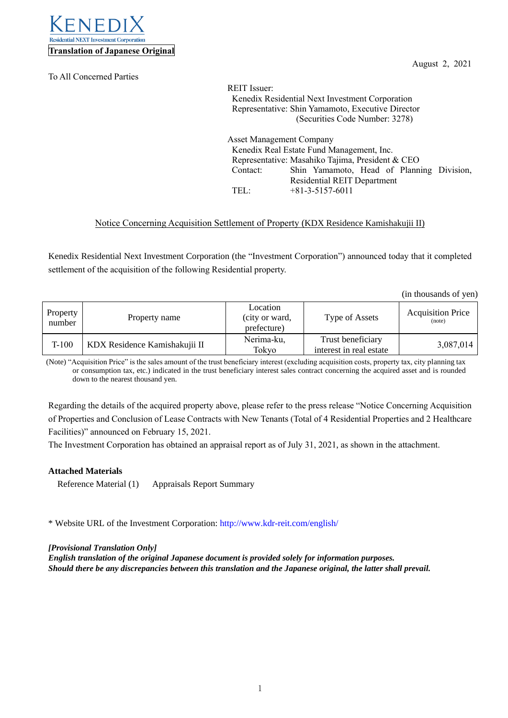

To All Concerned Parties

August 2, 2021

REIT Issuer: Kenedix Residential Next Investment Corporation Representative: Shin Yamamoto, Executive Director (Securities Code Number: 3278) Asset Management Company Kenedix Real Estate Fund Management, Inc. Representative: Masahiko Tajima, President & CEO Contact: Shin Yamamoto, Head of Planning Division, Residential REIT Department TEL: +81-3-5157-6011

## Notice Concerning Acquisition Settlement of Property (KDX Residence Kamishakujii II)

Kenedix Residential Next Investment Corporation (the "Investment Corporation") announced today that it completed settlement of the acquisition of the following Residential property.

(in thousands of yen)

| Property<br>number | Property name                 | Location<br>(city or ward,<br>prefecture) | Type of Assets                               | <b>Acquisition Price</b><br>(note) |
|--------------------|-------------------------------|-------------------------------------------|----------------------------------------------|------------------------------------|
| $T-100$            | KDX Residence Kamishakujii II | Nerima-ku,<br>Tokyo                       | Trust beneficiary<br>interest in real estate | 3,087,014                          |

(Note) "Acquisition Price" is the sales amount of the trust beneficiary interest (excluding acquisition costs, property tax, city planning tax or consumption tax, etc.) indicated in the trust beneficiary interest sales contract concerning the acquired asset and is rounded down to the nearest thousand yen.

Regarding the details of the acquired property above, please refer to the press release "Notice Concerning Acquisition of Properties and Conclusion of Lease Contracts with New Tenants (Total of 4 Residential Properties and 2 Healthcare Facilities)" announced on February 15, 2021.

The Investment Corporation has obtained an appraisal report as of July 31, 2021, as shown in the attachment.

## **Attached Materials**

Reference Material (1) Appraisals Report Summary

\* Website URL of the Investment Corporation[: http://www.kdr-reit.com/english/](http://www.kdr-reit.com/english/)

## *[Provisional Translation Only]*

*English translation of the original Japanese document is provided solely for information purposes. Should there be any discrepancies between this translation and the Japanese original, the latter shall prevail.*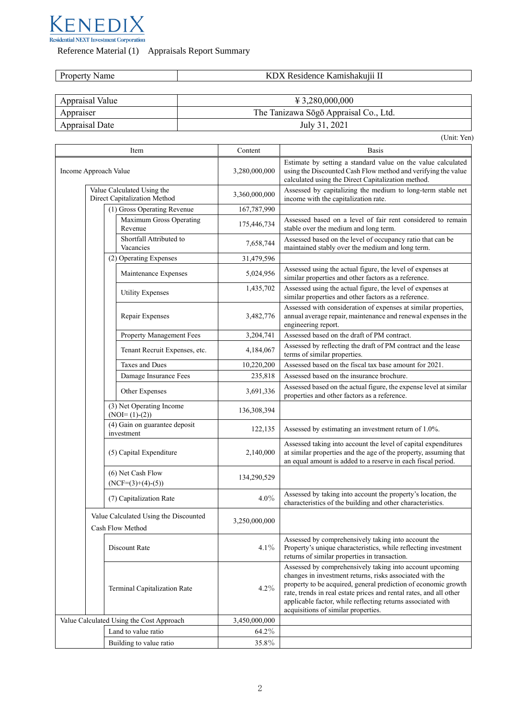

Reference Material (1) Appraisals Report Summary

| $\sim$ amishakujii $^{17}$<br>ıme<br>ence.<br>$\mathbf{v}$<br>.<br>$\cdots$ |
|-----------------------------------------------------------------------------|
|-----------------------------------------------------------------------------|

| Appraisal Value | $\text{\textsterling} 3,280,000,000$  |
|-----------------|---------------------------------------|
| Appraiser       | The Tanizawa Sōgō Appraisal Co., Ltd. |
| Appraisal Date  | July 31, 2021                         |

|                                                            |               | (Unit: Yen)                                                                                                                                                                                        |
|------------------------------------------------------------|---------------|----------------------------------------------------------------------------------------------------------------------------------------------------------------------------------------------------|
| Item                                                       | Content       | <b>Basis</b>                                                                                                                                                                                       |
| Income Approach Value                                      | 3,280,000,000 | Estimate by setting a standard value on the value calculated<br>using the Discounted Cash Flow method and verifying the value<br>calculated using the Direct Capitalization method.                |
| Value Calculated Using the<br>Direct Capitalization Method | 3,360,000,000 | Assessed by capitalizing the medium to long-term stable net<br>income with the capitalization rate.                                                                                                |
| (1) Gross Operating Revenue                                | 167,787,990   |                                                                                                                                                                                                    |
| Maximum Gross Operating<br>Revenue                         | 175,446,734   | Assessed based on a level of fair rent considered to remain<br>stable over the medium and long term.                                                                                               |
| Shortfall Attributed to<br>Vacancies                       | 7,658,744     | Assessed based on the level of occupancy ratio that can be<br>maintained stably over the medium and long term.                                                                                     |
| (2) Operating Expenses                                     | 31,479,596    |                                                                                                                                                                                                    |
| Maintenance Expenses                                       | 5,024,956     | Assessed using the actual figure, the level of expenses at<br>similar properties and other factors as a reference.                                                                                 |
| <b>Utility Expenses</b>                                    | 1,435,702     | Assessed using the actual figure, the level of expenses at<br>similar properties and other factors as a reference.                                                                                 |
| Repair Expenses                                            | 3,482,776     | Assessed with consideration of expenses at similar properties,<br>annual average repair, maintenance and renewal expenses in the<br>engineering report.                                            |
| Property Management Fees                                   | 3,204,741     | Assessed based on the draft of PM contract.                                                                                                                                                        |
| Tenant Recruit Expenses, etc.                              | 4,184,067     | Assessed by reflecting the draft of PM contract and the lease<br>terms of similar properties.                                                                                                      |
| <b>Taxes and Dues</b>                                      | 10,220,200    | Assessed based on the fiscal tax base amount for 2021.                                                                                                                                             |
| Damage Insurance Fees                                      | 235,818       | Assessed based on the insurance brochure.                                                                                                                                                          |
| Other Expenses                                             | 3,691,336     | Assessed based on the actual figure, the expense level at similar<br>properties and other factors as a reference.                                                                                  |
| (3) Net Operating Income<br>$(NOI=(1)-(2))$                | 136,308,394   |                                                                                                                                                                                                    |
| (4) Gain on guarantee deposit<br>investment                | 122,135       | Assessed by estimating an investment return of 1.0%.                                                                                                                                               |
| (5) Capital Expenditure                                    | 2,140,000     | Assessed taking into account the level of capital expenditures<br>at similar properties and the age of the property, assuming that<br>an equal amount is added to a reserve in each fiscal period. |
| (6) Net Cash Flow<br>$(NCF=(3)+(4)-(5))$                   | 134,290,529   |                                                                                                                                                                                                    |
| (7) Capitalization Rate                                    | $4.0\%$       | Assessed by taking into account the property's location, the<br>characteristics of the building and other characteristics.                                                                         |
| Value Calculated Using the Discounted<br>Cash Flow Method  | 3,250,000,000 |                                                                                                                                                                                                    |
| Discount Rate                                              | $4.1\%$       | Assessed by comprehensively taking into account the<br>Property's unique characteristics, while reflecting investment<br>returns of similar properties in transaction.                             |
|                                                            |               | Assessed by comprehensively taking into account upcoming<br>changes in investment returns, risks associated with the                                                                               |